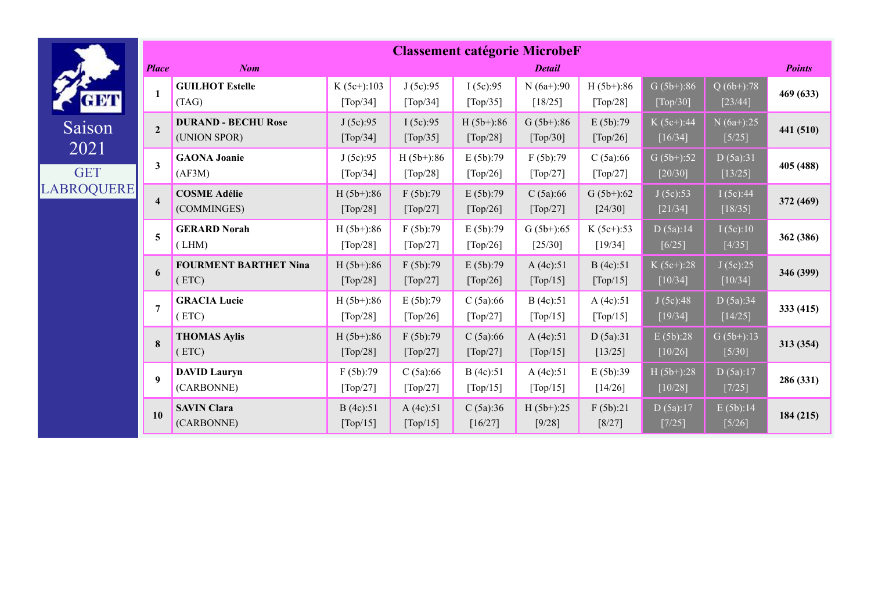|                    |                         |                                            |                                                |                          |                          | <b>Classement catégorie MicrobeF</b> |                          |                           |                                |               |
|--------------------|-------------------------|--------------------------------------------|------------------------------------------------|--------------------------|--------------------------|--------------------------------------|--------------------------|---------------------------|--------------------------------|---------------|
|                    | <b>Place</b>            | <b>Nom</b>                                 |                                                |                          |                          | <b>Detail</b>                        |                          |                           |                                | <b>Points</b> |
| <u>am</u>          | $\mathbf{1}$            | <b>GUILHOT Estelle</b><br>(TAG)            | $K(5c+)$ :103<br>$\lceil \text{Top}/34 \rceil$ | J(5c):95<br>[Top/34]     | I(5c):95<br>[Top/35]     | $N(6a+):90$<br>[18/25]               | $H(5b+):86$<br>[Top/28]  | $G(5b+):86$<br>$[Top/30]$ | $\sqrt{Q(6b+)}$ :78<br>[23/44] | 469 (633)     |
| Saison             | $\overline{2}$          | <b>DURAND - BECHU Rose</b><br>(UNION SPOR) | J(5c):95<br>[Top/34]                           | I(5c):95<br>[Top/35]     | $H(5b+)$ :86<br>[Top/28] | $G(5b+)$ :86<br>[Top/30]             | E(5b):79<br>[Top/26]     | $K(5c+)$ :44<br>$[16/34]$ | $N(6a+)$ :25<br>$[5/25]$       | 441 (510)     |
| 2021<br><b>GET</b> | $\mathbf{3}$            | <b>GAONA Joanie</b><br>(AF3M)              | J(5c):95<br>$\lceil \text{Top}/34 \rceil$      | $H(5b+)$ :86<br>[Top/28] | E(5b):79<br>[Top/26]     | F(5b):79<br>[Top/27]                 | C(5a):66<br>[Top/27]     | $G(5b+):52$<br>[20/30]    | D(5a):31<br>$[13/25]$          | 405 (488)     |
| LABROQUERE         | $\overline{\mathbf{4}}$ | <b>COSME Adélie</b><br>(COMMINGES)         | $H(5b+):86$<br>[Top/28]                        | F(5b):79<br>[Top/27]     | E(5b):79<br>[Top/26]     | C(5a):66<br>[Top/27]                 | $G(5b+)$ :62<br>[24/30]  | J(5c):53<br>[21/34]       | I(5c):44<br>$[18/35]$          | 372 (469)     |
|                    | 5                       | <b>GERARD Norah</b><br>(LHM)               | $H(5b+)$ :86<br>[Top/28]                       | F(5b):79<br>[Top/27]     | E(5b):79<br>[Top/26]     | $G(5b+)$ :65<br>$[25/30]$            | $K(5c+):53$<br>$[19/34]$ | D(5a):14<br>$[6/25]$      | I(5c):10<br>$[4/35]$           | 362 (386)     |
|                    | 6                       | <b>FOURMENT BARTHET Nina</b><br>(ETC)      | $H(5b+)$ :86<br>[Top/28]                       | F(5b):79<br>[Top/27]     | E(5b):79<br>[Top/26]     | A $(4c):51$<br>[Top/15]              | B(4c):51<br>[Top/15]     | $K(5c+)$ :28<br>[10/34]   | J(5c):25<br>$[10/34]$          | 346 (399)     |
|                    | $\overline{7}$          | <b>GRACIA Lucie</b><br>(ETC)               | $H(5b+)$ :86<br>[Top/28]                       | E(5b):79<br>[Top/26]     | C(5a):66<br>[Top/27]     | B(4c):51<br>[Top/15]                 | A(4c):51<br>[Top/15]     | J(5c):48<br>[19/34]       | D(5a):34<br>[14/25]            | 333 (415)     |
|                    | 8                       | <b>THOMAS Aylis</b><br>(ETC)               | $H(5b+)$ :86<br>[Top/28]                       | F(5b):79<br>[Top/27]     | C(5a):66<br>[Top/27]     | A $(4c):51$<br>[Top/15]              | D(5a):31<br>[13/25]      | E(5b):28<br>$[10/26]$     | $G(5b+):13$<br>$[5/30]$        | 313 (354)     |
|                    | $\boldsymbol{Q}$        | <b>DAVID Lauryn</b><br>(CARBONNE)          | F(5b):79<br>[Top/27]                           | C(5a):66<br>[Top/27]     | B(4c):51<br>[Top/15]     | A(4c):51<br>[Top/15]                 | E(5b):39<br>[14/26]      | $H(5b+)$ :28<br>$[10/28]$ | D(5a):17<br>$[7/25]$           | 286 (331)     |
|                    | 10                      | <b>SAVIN Clara</b><br>(CARBONNE)           | B(4c):51<br>[Top/15]                           | A(4c):51<br>[Top/15]     | C(5a):36<br>[16/27]      | $H(5b+)$ :25<br>[9/28]               | F(5b):21<br>$[8/27]$     | D(5a):17<br>$[7/25]$      | E(5b):14<br>$[5/26]$           | 184 (215)     |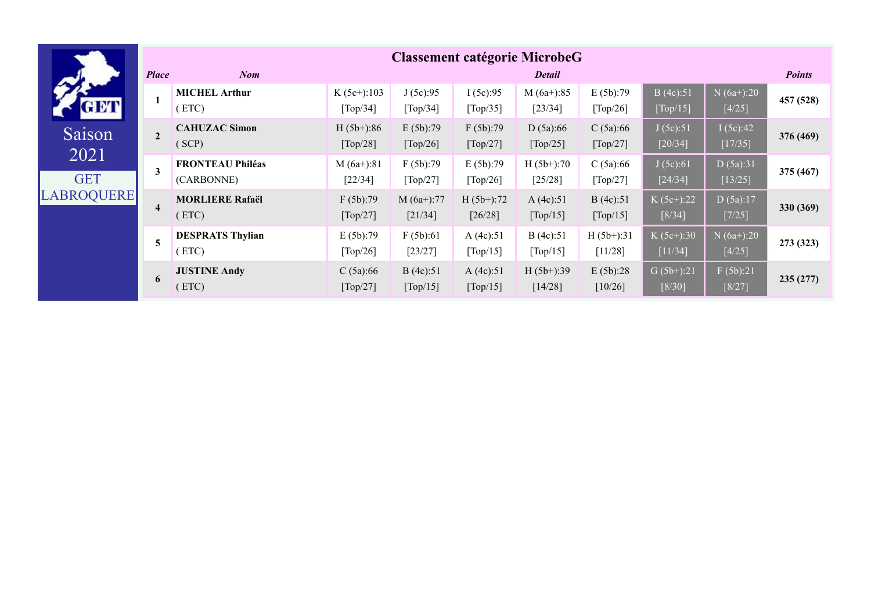|                    |                  |                                       |                            |                        |                           | <b>Classement catégorie MicrobeG</b> |                         |                           |                         |               |
|--------------------|------------------|---------------------------------------|----------------------------|------------------------|---------------------------|--------------------------------------|-------------------------|---------------------------|-------------------------|---------------|
|                    | <b>Place</b>     | <b>Nom</b>                            |                            |                        |                           | <b>Detail</b>                        |                         |                           |                         | <b>Points</b> |
| <b>GET</b>         |                  | <b>MICHEL Arthur</b><br>(ETC)         | $K (5c+)$ :103<br>[Top/34] | J(5c):95<br>[Top/34]   | I(5c):95<br>[Top/35]      | $M(6a+):85$<br>$[23/34]$             | E(5b):79<br>[Top/26]    | B(4c):51<br>[Top/15]      | $N(6a+):20$<br>$[4/25]$ | 457 (528)     |
| Saison             | $\overline{2}$   | <b>CAHUZAC Simon</b><br>(SCP)         | $H(5b+):86$<br>[Top/28]    | E(5b):79<br>[Top/26]   | F(5b):79<br>[Top/27]      | D(5a):66<br>[Top/25]                 | C(5a):66<br>[Top/27]    | J(5c):51<br>$[20/34]$     | I(5c):42<br>[17/35]     | 376 (469)     |
| 2021<br><b>GET</b> | 3                | <b>FRONTEAU Philéas</b><br>(CARBONNE) | $M(6a+)$ :81<br>$[22/34]$  | F(5b):79<br>[Top/27]   | E(5b):79<br>[Top/26]      | $H(5b+)$ :70<br>$[25/28]$            | C(5a):66<br>[Top/27]    | J(5c):61<br>$[24/34]$     | D(5a):31<br>[13/25]     | 375(467)      |
| <b>LABROQUERE</b>  | $\boldsymbol{4}$ | <b>MORLIERE Rafaël</b><br>(ETC)       | F(5b):79<br>[Top/27]       | $M(6a+):77$<br>[21/34] | $H(5b+)$ :72<br>$[26/28]$ | A(4c):51<br>[Top/15]                 | B(4c):51<br>[Top/15]    | $K (5c+)$ :22<br>$[8/34]$ | D(5a):17<br>$[7/25]$    | 330 (369)     |
|                    | 5                | <b>DESPRATS Thylian</b><br>(ETC)      | E(5b):79<br>[Top/26]       | F(5b):61<br>[23/27]    | A(4c):51<br>[Top/15]      | B(4c):51<br>[Top/15]                 | $H(5b+)$ :31<br>[11/28] | $K (5c+)$ :30<br>[11/34]  | $N(6a+):20$<br>$[4/25]$ | 273 (323)     |
|                    | 6                | <b>JUSTINE Andy</b><br>(ETC)          | C(5a):66<br>[Top/27]       | B(4c):51<br>[Top/15]   | A(4c):51<br>[Top/15]      | $H(5b+)$ :39<br>[14/28]              | E(5b):28<br>[10/26]     | $G(5b+)$ :21<br>$[8/30]$  | F(5b):21<br>$[8/27]$    | 235(277)      |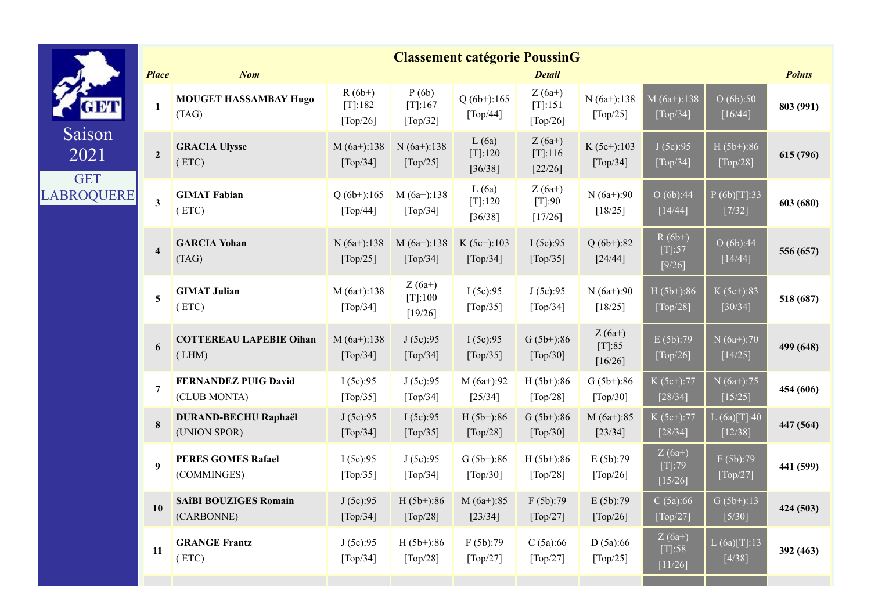|                              |                         |                                             |                                                      |                                               | <b>Classement catégorie PoussinG</b>          |                                              |                                           |                                       |                         |               |
|------------------------------|-------------------------|---------------------------------------------|------------------------------------------------------|-----------------------------------------------|-----------------------------------------------|----------------------------------------------|-------------------------------------------|---------------------------------------|-------------------------|---------------|
|                              | <b>Place</b>            | <b>Nom</b>                                  |                                                      |                                               |                                               | <b>Detail</b>                                |                                           |                                       |                         | <b>Points</b> |
|                              | 1                       | <b>MOUGET HASSAMBAY Hugo</b><br>(TAG)       | $R(6b+)$<br>[T]:182<br>$\lceil \text{Top}/26 \rceil$ | P(6b)<br>$[T[:167$<br>[Top/32]                | $Q(6b+)$ :165<br>[Top/44]                     | $Z(6a+)$<br>[T]:151<br>[Top/26]              | $N(6a+)$ :138<br>[Top/25]                 | $M(6a+):138$<br>$\overline{[Top/34]}$ | O(6b):50<br>$[16/44]$   | 803 (991)     |
| Saison<br>2021<br><b>GET</b> | $\overline{2}$          | <b>GRACIA Ulysse</b><br>(ETC)               | $M(6a+):138$<br>[Top/34]                             | $N(6a+):138$<br>[Top/25]                      | L(6a)<br>$[T]$ :120<br>[36/38]                | $Z(6a+)$<br>[T]:116<br>$[22/26]$             | $K (5c+)$ :103<br>[Top/34]                | J(5c):95<br>[Top/34]                  | $H(5b+):86$<br>[Top/28] | 615 (796)     |
| <b>LABROQUERE</b>            | $\mathbf{3}$            | <b>GIMAT Fabian</b><br>(ETC)                | $Q(6b+)$ :165<br>$\lceil \text{Top}/44 \rceil$       | $M(6a+):138$<br>$\lceil \text{Top}/34 \rceil$ | L(6a)<br>$[T]$ :120<br>[36/38]                | $Z(6a+)$<br>$[T]$ :90<br>[17/26]             | $N(6a+):90$<br>[18/25]                    | O(6b):44<br>[14/44]                   | P(6b)[T]:33<br>[7/32]   | 603 (680)     |
|                              | $\overline{\mathbf{4}}$ | <b>GARCIA Yohan</b><br>(TAG)                | $N(6a+)$ :138<br>[Top/25]                            | $M(6a+):138$<br>[Top/34]                      | $K (5c+)$ :103<br>[Top/34]                    | I(5c):95<br>[Top/35]                         | $Q(6b+)$ :82<br>$[24/44]$                 | $R(6b+)$<br>$[T]:57$<br>$[9/26]$      | O(6b):44<br>$[14/44]$   | 556 (657)     |
|                              | $\overline{\mathbf{5}}$ | <b>GIMAT Julian</b><br>(ETC)                | $M(6a+):138$<br>$\lceil \text{Top}/34 \rceil$        | $Z(6a+)$<br>$[T]$ :100<br>[19/26]             | I(5c):95<br>[Top/35]                          | J(5c):95<br>[Top/34]                         | $N(6a+):90$<br>[18/25]                    | $H(5b+)$ :86<br>[Top/28]              | $K(5c+):83$<br>[30/34]  | 518 (687)     |
|                              | 6                       | <b>COTTEREAU LAPEBIE Oihan</b><br>(LHM)     | $M(6a+):138$<br>$\lceil \text{Top}/34 \rceil$        | J(5c):95<br>[Top/34]                          | I(5c):95<br>[Top/35]                          | $G(5b+)$ :86<br>[Top/30]                     | $Z(6a+)$<br>$[T]:85$<br>$[16/26]$         | E(5b):79<br>[Top/26]                  | $N(6a+):70$<br>[14/25]  | 499 (648)     |
|                              | $7\phantom{.0}$         | <b>FERNANDEZ PUIG David</b><br>(CLUB MONTA) | I(5c):95<br>[Top/35]                                 | J(5c):95<br>[Top/34]                          | $M(6a+):92$<br>[25/34]                        | $H(5b+)$ :86<br>[Top/28]                     | $G(5b+)$ :86<br>[Top/30]                  | K (5c+):77<br>[28/34]                 | $N(6a+):75$<br>[15/25]  | 454 (606)     |
|                              | 8                       | <b>DURAND-BECHU Raphaël</b><br>(UNION SPOR) | J(5c):95<br>[Top/34]                                 | I(5c):95<br>[Top/35]                          | $H(5b+)$ :86<br>[Top/28]                      | $G(5b+)$ :86<br>[Top/30]                     | $M(6a+):85$<br>[23/34]                    | K (5c+):77<br>$[28/34]$               | L(6a)[T]:40<br>[12/38]  | 447 (564)     |
|                              | 9                       | <b>PERES GOMES Rafael</b><br>(COMMINGES)    | I(5c):95<br>$\lceil \text{Top}/35 \rceil$            | J(5c):95<br>$\lceil \text{Top}/34 \rceil$     | $G(5b+)$ :86<br>$\lceil \text{Top}/30 \rceil$ | $H(5b+):86$<br>$\lceil \text{Top}/28 \rceil$ | E(5b):79<br>$\lceil \text{Top}/26 \rceil$ | $Z(6a+)$<br>$[T]:79$<br>$[15/26]$     | F(5b):79<br>[Top/27]    | 441 (599)     |
|                              | 10                      | <b>SAÎBI BOUZIGES Romain</b><br>(CARBONNE)  | J(5c):95<br>[Top/34]                                 | $H(5b+):86$<br>[Top/28]                       | $M(6a+):85$<br>$[23/34]$                      | F(5b):79<br>[Top/27]                         | E(5b):79<br>[Top/26]                      | C(5a):66<br>[Top/27]                  | $G(5b+):13$<br>$[5/30]$ | 424 (503)     |
|                              | 11                      | <b>GRANGE Frantz</b><br>(ETC)               | J(5c):95<br>[Top/34]                                 | $H(5b+)$ :86<br>[Top/28]                      | F(5b):79<br>[Top/27]                          | C(5a):66<br>[Top/27]                         | D(5a):66<br>[Top/25]                      | $Z(6a+)$<br>$[T]:58$<br>[11/26]       | L(6a)[T]:13<br>$[4/38]$ | 392 (463)     |
|                              |                         |                                             |                                                      |                                               |                                               |                                              |                                           |                                       |                         |               |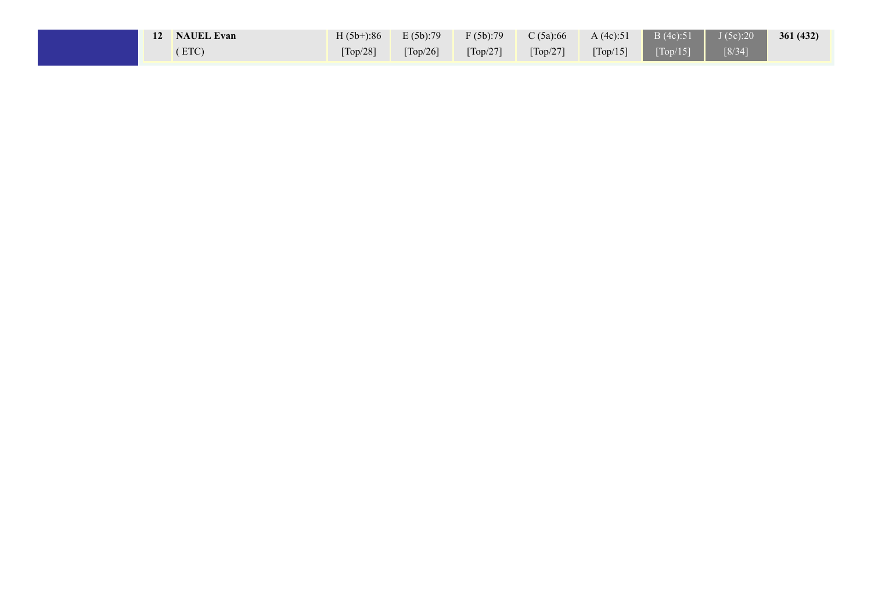|  | 12 NAUEL Evan |                               |                               | $H (5b+): 86$ $E (5b): 79$ $F (5b): 79$ | C $(5a):66$                   | A $(4c):51$                   | $\parallel$ B (4c):51 $\parallel$ J (5c):20 |        | 361(432) |
|--|---------------|-------------------------------|-------------------------------|-----------------------------------------|-------------------------------|-------------------------------|---------------------------------------------|--------|----------|
|  | ETC)          | $\lceil \text{Top}/28 \rceil$ | $\lceil \text{Top}/26 \rceil$ | $\lceil \text{Top}/27 \rceil$           | $\lceil \text{Top}/27 \rceil$ | $\lceil \text{Top}/15 \rceil$ | [Top/15]                                    | [8/34] |          |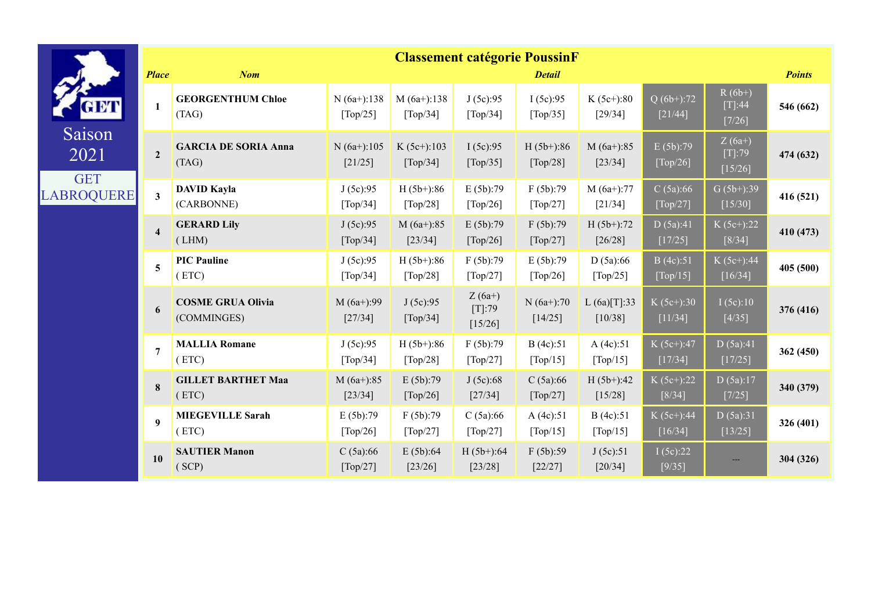|                              |                         |                                         |                           |                          | <b>Classement catégorie PoussinF</b> |                                           |                          |                           |                                 |               |
|------------------------------|-------------------------|-----------------------------------------|---------------------------|--------------------------|--------------------------------------|-------------------------------------------|--------------------------|---------------------------|---------------------------------|---------------|
|                              | <b>Place</b>            | <b>Nom</b>                              |                           |                          |                                      | <b>Detail</b>                             |                          |                           |                                 | <b>Points</b> |
| <b>AM</b>                    | 1                       | <b>GEORGENTHUM Chloe</b><br>(TAG)       | $N(6a+)$ :138<br>[Top/25] | $M(6a+):138$<br>[Top/34] | J(5c):95<br>[Top/34]                 | I(5c):95<br>[Top/35]                      | $K (5c+)$ :80<br>[29/34] | $Q(6b+)$ :72<br>[21/44]   | $R(6b+)$<br>$[T]:44$<br>[7/26]  | 546 (662)     |
| Saison<br>2021<br><b>GET</b> | $\overline{2}$          | <b>GARCIA DE SORIA Anna</b><br>(TAG)    | $N(6a+):105$<br>[21/25]   | $K(5c+):103$<br>[Top/34] | I(5c):95<br>[Top/35]                 | $H(5b+)$ :86<br>[Top/28]                  | $M(6a+):85$<br>$[23/34]$ | E(5b):79<br>[Top/26]      | $Z(6a+)$<br>$[T]:79$<br>[15/26] | 474 (632)     |
| <b>LABROQUERE</b>            | $\overline{\mathbf{3}}$ | <b>DAVID Kayla</b><br>(CARBONNE)        | J(5c):95<br>[Top/34]      | $H(5b+)$ :86<br>[Top/28] | E(5b):79<br>[Top/26]                 | F(5b):79<br>[Top/27]                      | $M(6a+):77$<br>[21/34]   | C(5a):66<br>[Top/27]      | $G(5b+):39$<br>$[15/30]$        | 416 (521)     |
|                              | $\overline{\mathbf{4}}$ | <b>GERARD Lily</b><br>(LHM)             | J(5c):95<br>[Top/34]      | $M(6a+):85$<br>[23/34]   | E(5b):79<br>[Top/26]                 | F(5b):79<br>[Top/27]                      | $H(5b+)$ :72<br>[26/28]  | D(5a):41<br>[17/25]       | $K(5c+)$ :22<br>$[8/34]$        | 410 (473)     |
|                              | 5                       | <b>PIC Pauline</b><br>(ETC)             | J(5c):95<br>[Top/34]      | $H(5b+)$ :86<br>[Top/28] | F(5b):79<br>[Top/27]                 | E(5b):79<br>$\lceil \text{Top}/26 \rceil$ | D(5a):66<br>[Top/25]     | B(4c):51<br>[Top/15]      | $K(5c+)$ :44<br>[16/34]         | 405 (500)     |
|                              | 6                       | <b>COSME GRUA Olivia</b><br>(COMMINGES) | $M(6a+)$ :99<br>[27/34]   | J(5c):95<br>[Top/34]     | $Z(6a+)$<br>$[T]:79$<br>$[15/26]$    | $N(6a+):70$<br>$[14/25]$                  | L(6a)[T]:33<br>$[10/38]$ | $K(5c+)$ :30<br>[11/34]   | I(5c):10<br>$[4/35]$            | 376 (416)     |
|                              | $\overline{7}$          | <b>MALLIA Romane</b><br>(ETC)           | J(5c):95<br>[Top/34]      | $H(5b+):86$<br>[Top/28]  | F(5b):79<br>[Top/27]                 | B (4c):51<br>[Top/15]                     | A(4c):51<br>[Top/15]     | $K(5c+)$ :47<br>$[17/34]$ | D(5a):41<br>[17/25]             | 362 (450)     |
|                              | $\bf{8}$                | <b>GILLET BARTHET Maa</b><br>(ETC)      | $M(6a+):85$<br>[23/34]    | E(5b):79<br>[Top/26]     | J(5c):68<br>[27/34]                  | C(5a):66<br>[Top/27]                      | $H(5b+)$ :42<br>[15/28]  | $K(5c+)$ :22<br>$[8/34]$  | D(5a):17<br>$[7/25]$            | 340 (379)     |
|                              | 9                       | <b>MIEGEVILLE Sarah</b><br>(ETC)        | E(5b):79<br>[Top/26]      | F(5b):79<br>[Top/27]     | C(5a):66<br>[Top/27]                 | A(4c):51<br>[Top/15]                      | B(4c):51<br>[Top/15]     | $K(5c+)$ :44<br>[16/34]   | D(5a):31<br>[13/25]             | 326 (401)     |
|                              | 10                      | <b>SAUTIER Manon</b><br>(SCP)           | C(5a):66<br>[Top/27]      | E(5b):64<br>[23/26]      | $H(5b+)$ :64<br>[23/28]              | F(5b):59<br>$[22/27]$                     | J(5c):51<br>[20/34]      | I(5c):22<br>$[9/35]$      |                                 | 304 (326)     |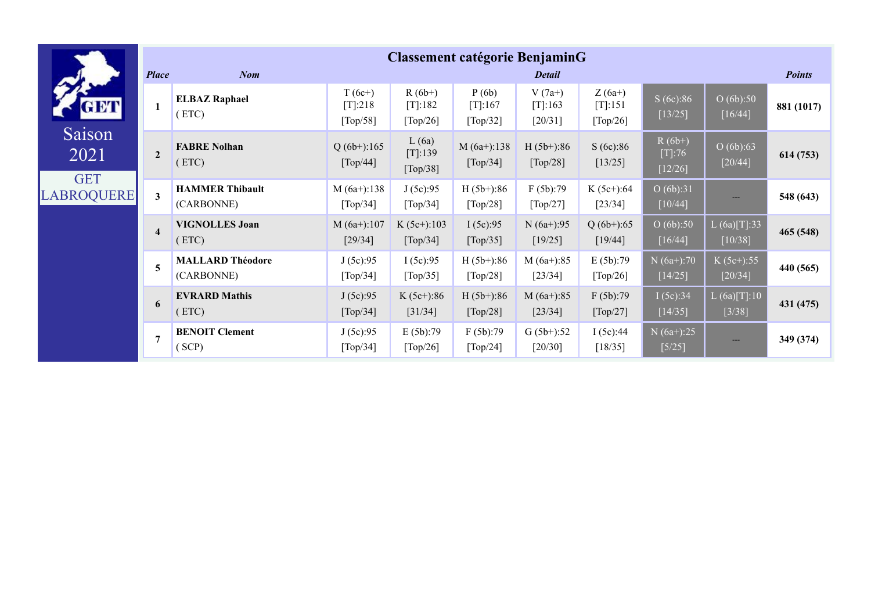|                                 |                         |                                       |                                               |                                    | <b>Classement catégorie BenjaminG</b> |                                  |                                    |                                 |                                                   |               |
|---------------------------------|-------------------------|---------------------------------------|-----------------------------------------------|------------------------------------|---------------------------------------|----------------------------------|------------------------------------|---------------------------------|---------------------------------------------------|---------------|
|                                 | <b>Place</b>            | <b>Nom</b>                            |                                               |                                    |                                       | <b>Detail</b>                    |                                    |                                 |                                                   | <b>Points</b> |
| GET                             |                         | <b>ELBAZ Raphael</b><br>(ETC)         | $T(6c+)$<br>$[T]$ :218<br>[Top/58]            | $R(6b+)$<br>$[T]$ :182<br>[Top/26] | P(6b)<br>$[T]$ :167<br>[Top/32]       | $V(7a+)$<br>[T]:163<br>$[20/31]$ | $Z(6a+)$<br>$[T]$ :151<br>[Top/26] | S(6c):86<br>$[13/25]$           | O(6b):50<br>[16/44]                               | 881 (1017)    |
| Saison<br>2021                  | $\overline{2}$          | <b>FABRE Nolhan</b><br>(ETC)          | $Q(6b+)$ :165<br>[Top/44]                     | L(6a)<br>[T]:139<br>[Top/38]       | $M(6a+)$ :138<br>[Top/34]             | $H(5b+)$ :86<br>[Top/28]         | S(6c):86<br>[13/25]                | $R(6b+)$<br>$[T]:76$<br>[12/26] | O(6b):63<br>[20/44]                               | 614 (753)     |
| <b>GET</b><br><b>LABROQUERE</b> | $\mathbf{3}$            | <b>HAMMER Thibault</b><br>(CARBONNE)  | $M(6a+):138$<br>$\lceil \text{Top}/34 \rceil$ | J(5c):95<br>[Top/34]               | $H(5b+)$ :86<br>[Top/28]              | F(5b):79<br>[Top/27]             | $K(5c+)$ :64<br>[23/34]            | O(6b):31<br>$[10/44]$           |                                                   | 548 (643)     |
|                                 | $\overline{\mathbf{4}}$ | <b>VIGNOLLES Joan</b><br>(ETC)        | $M(6a+):107$<br>[29/34]                       | $K (5c+)$ :103<br>[Top/34]         | I(5c):95<br>[Top/35]                  | $N(6a+)$ :95<br>$[19/25]$        | $Q(6b+)$ :65<br>[19/44]            | O(6b):50<br>$[16/44]$           | L(6a)[T]:33<br>$[10/38]$                          | 465 (548)     |
|                                 | 5                       | <b>MALLARD Théodore</b><br>(CARBONNE) | J(5c):95<br>[Top/34]                          | I(5c):95<br>[Top/35]               | $H(5b+)$ :86<br>[Top/28]              | $M(6a+):85$<br>$[23/34]$         | E(5b):79<br>[Top/26]               | $N(6a+):70$<br>[14/25]          | $K(5c+)$ :55<br>$[20/34]$                         | 440 (565)     |
|                                 | 6                       | <b>EVRARD Mathis</b><br>(ETC)         | J(5c):95<br>[Top/34]                          | $K (5c+)$ :86<br>[31/34]           | $H(5b+)$ :86<br>[Top/28]              | $M(6a+):85$<br>$[23/34]$         | F(5b):79<br>[Top/27]               | I(5c):34<br>[14/35]             | $L(6a)[\overline{T}]{:}1\overline{0}$<br>$[3/38]$ | 431 (475)     |
|                                 | $\overline{7}$          | <b>BENOIT Clement</b><br>(SCP)        | J(5c):95<br>[Top/34]                          | E(5b):79<br>[Top/26]               | F(5b):79<br>[Top/24]                  | $G(5b+)$ :52<br>[20/30]          | I(5c):44<br>[18/35]                | $N(6a+):25$<br>$[5/25]$         | $---$                                             | 349 (374)     |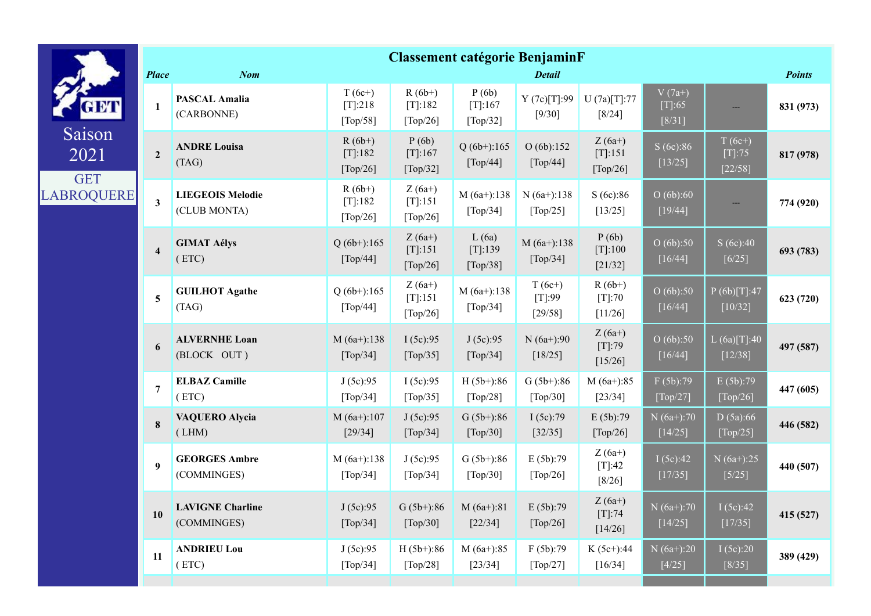|                              |                         |                                         |                                                      |                                                      | <b>Classement catégorie BenjaminF</b>          |                                                |                                    |                                   |                                  |               |
|------------------------------|-------------------------|-----------------------------------------|------------------------------------------------------|------------------------------------------------------|------------------------------------------------|------------------------------------------------|------------------------------------|-----------------------------------|----------------------------------|---------------|
|                              | <b>Place</b>            | <b>Nom</b>                              |                                                      |                                                      |                                                | <b>Detail</b>                                  |                                    |                                   |                                  | <b>Points</b> |
| a Mi                         | 1                       | <b>PASCAL Amalia</b><br>(CARBONNE)      | $T(6c+)$<br>[T]:218<br>$\lceil \text{Top}/58 \rceil$ | $R(6b+)$<br>[T]:182<br>$\lceil \text{Top}/26 \rceil$ | P(6b)<br>[T]:167<br>[Top/32]                   | Y(7c)[T]:99<br>[9/30]                          | U(7a)[T]:77<br>$[8/24]$            | $V(7a+)$<br>$[T]: 65$<br>$[8/31]$ |                                  | 831 (973)     |
| Saison<br>2021<br><b>GET</b> | $\overline{2}$          | <b>ANDRE Louisa</b><br>(TAG)            | $R(6b+)$<br>[T]:182<br>[Top/26]                      | P(6b)<br>$[T]$ :167<br>[Top/32]                      | $Q(6b+)$ :165<br>[Top/44]                      | O(6b):152<br>[Top/44]                          | $Z(6a+)$<br>[T]:151<br>[Top/26]    | S(6c):86<br>$[13/25]$             | $T(6c+)$<br>$[T]$ :75<br>[22/58] | 817 (978)     |
| <b>LABROQUERE</b>            | $\mathbf{3}$            | <b>LIEGEOIS Melodie</b><br>(CLUB MONTA) | $R(6b+)$<br>[T]:182<br>[Top/26]                      | $Z(6a+)$<br>[T]:151<br>[Top/26]                      | $M(6a+)$ :138<br>$\lceil \text{Top}/34 \rceil$ | $N(6a+)$ :138<br>$\lceil \text{Top}/25 \rceil$ | S(6c):86<br>[13/25]                | O(6b):60<br>[19/44]               |                                  | 774 (920)     |
|                              | $\overline{\mathbf{4}}$ | <b>GIMAT Aélys</b><br>(ETC)             | $Q(6b+)$ :165<br>[Top/44]                            | $Z(6a+)$<br>[T]:151<br>[Top/26]                      | L(6a)<br>[T]:139<br>[Top/38]                   | $M(6a+):138$<br>[Top/34]                       | P(6b)<br>$[T[:100$<br>[21/32]      | O(6b):50<br>[16/44]               | S(6c):40<br>$[6/25]$             | 693 (783)     |
|                              | 5                       | <b>GUILHOT Agathe</b><br>(TAG)          | $Q(6b+)$ :165<br>[Top/44]                            | $Z(6a+)$<br>[T]:151<br>[Top/26]                      | $M(6a+):138$<br>[Top/34]                       | $T(6c+)$<br>[T]:99<br>[29/58]                  | $R(6b+)$<br>$[T]$ :70<br>[11/26]   | O(6b):50<br>$[16/44]$             | P(6b)[T]:47<br>$[10/32]$         | 623 (720)     |
|                              | 6                       | <b>ALVERNHE Loan</b><br>(BLOCK OUT)     | $M(6a+):138$<br>[Top/34]                             | I(5c):95<br>[Top/35]                                 | J(5c):95<br>[Top/34]                           | $N(6a+):90$<br>$[18/25]$                       | $Z(6a+)$<br>$[T]:79$<br>[15/26]    | $\overline{O(6b)}$ :50<br>[16/44] | L(6a)[T]:40<br>[12/38]           | 497 (587)     |
|                              | $\overline{7}$          | <b>ELBAZ Camille</b><br>(ETC)           | J(5c):95<br>[Top/34]                                 | I(5c):95<br>[Top/35]                                 | $H(5b+):86$<br>[Top/28]                        | $G(5b+)$ :86<br>[Top/30]                       | $M(6a+):85$<br>$[23/34]$           | F(5b):79<br>[Top/27]              | E(5b):79<br>[Top/26]             | 447 (605)     |
|                              | 8                       | <b>VAQUERO Alycia</b><br>(LHM)          | $M(6a+):107$<br>$[29/34]$                            | J(5c):95<br>[Top/34]                                 | $G(5b+):86$<br>[Top/30]                        | I(5c):79<br>[32/35]                            | E(5b):79<br>[Top/26]               | $N(6a+):70$<br>$[14/25]$          | D(5a):66<br>[Top/25]             | 446 (582)     |
|                              | 9                       | <b>GEORGES Ambre</b><br>(COMMINGES)     | $M(6a+):138$<br>$\lceil \text{Top}/34 \rceil$        | J(5c):95<br>[Top/34]                                 | $G(5b+)$ :86<br>[Top/30]                       | E(5b):79<br>$\lceil \text{Top}/26 \rceil$      | $Z(6a+)$<br>$[T]:42$<br>$[8/26]$   | I(5c):42<br>[17/35]               | $N(6a+)$ :25<br>$[5/25]$         | 440 (507)     |
|                              | 10                      | <b>LAVIGNE Charline</b><br>(COMMINGES)  | J(5c):95<br>[Top/34]                                 | $G(5b+)$ :86<br>[Top/30]                             | $M(6a+):81$<br>$[22/34]$                       | E(5b):79<br>[Top/26]                           | $Z(6a+)$<br>$[T]$ :74<br>$[14/26]$ | $N(6a+):70$<br>$[14/25]$          | I(5c):42<br>[17/35]              | 415 (527)     |
|                              | 11                      | <b>ANDRIEU Lou</b><br>(ETC)             | J(5c):95<br>[Top/34]                                 | $H(5b+)$ :86<br>[Top/28]                             | $M(6a+):85$<br>[23/34]                         | F(5b):79<br>[Top/27]                           | $K(5c+)$ :44<br>[16/34]            | $N(6a+):20$<br>$[4/25]$           | I(5c):20<br>$[8/35]$             | 389 (429)     |
|                              |                         |                                         |                                                      |                                                      |                                                |                                                |                                    |                                   |                                  |               |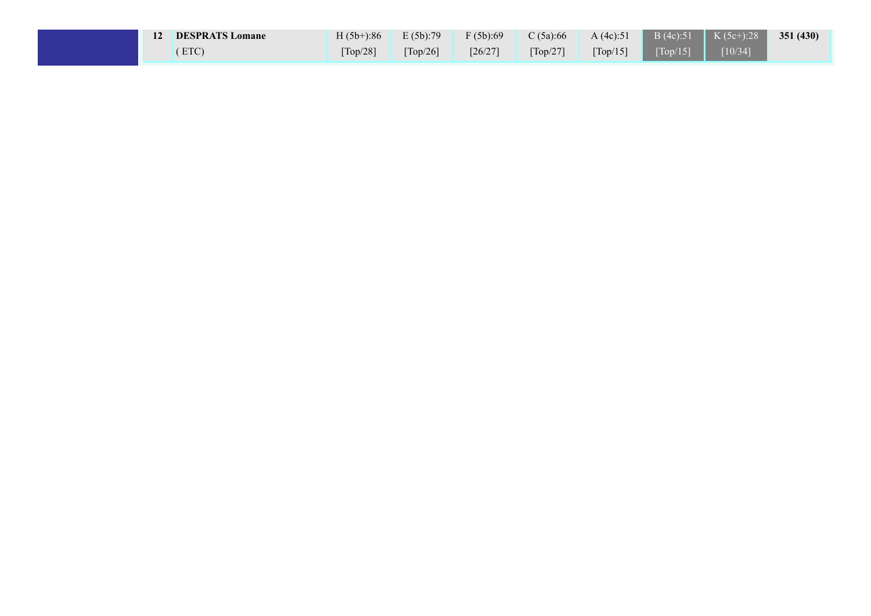| 12 | <b>DESPRATS Lomane</b> | $H(5b+)$ :86 | E(5b):79                      | F(5b):69  | C $(5a):66$                   | A(4c):51                      |                    | $\mathbf{B}$ (4c):51   K (5c+):28 | 351(430) |
|----|------------------------|--------------|-------------------------------|-----------|-------------------------------|-------------------------------|--------------------|-----------------------------------|----------|
|    | ETC                    | $Top/28$ ]   | $\lceil \text{Top}/26 \rceil$ | $[26/27]$ | $\lceil \text{Top}/27 \rceil$ | $\lceil \text{Top}/15 \rceil$ | $[Top/15]$ [10/34] |                                   |          |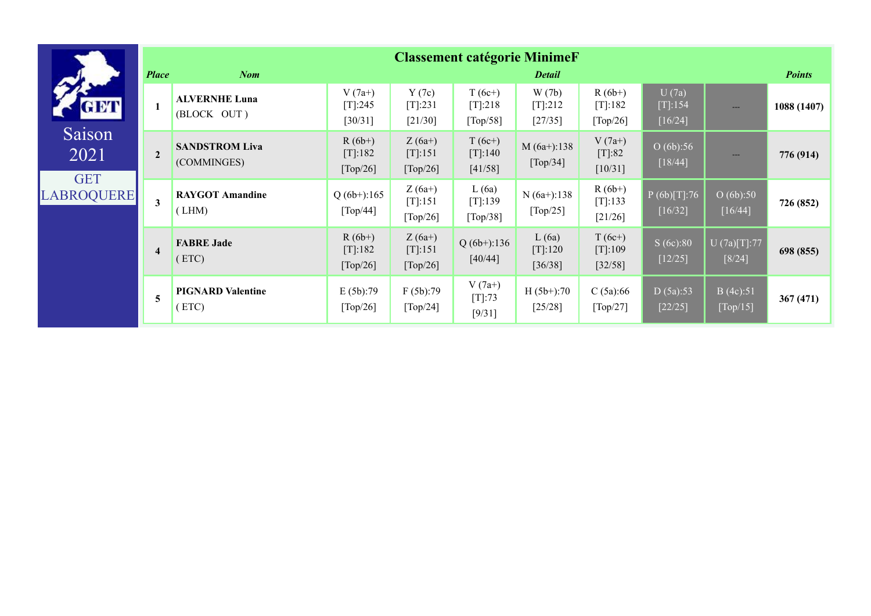|                                 |                |                                      |                                    |                                    | <b>Classement catégorie MinimeF</b> |                                |                                   |                                  |                          |               |
|---------------------------------|----------------|--------------------------------------|------------------------------------|------------------------------------|-------------------------------------|--------------------------------|-----------------------------------|----------------------------------|--------------------------|---------------|
|                                 | <b>Place</b>   | <b>Nom</b>                           |                                    |                                    |                                     | <b>Detail</b>                  |                                   |                                  |                          | <b>Points</b> |
| GET                             |                | <b>ALVERNHE Luna</b><br>(BLOCK OUT)  | $V(7a+)$<br>$[T]$ :245<br>[30/31]  | Y(7c)<br>$[T]$ :231<br>[21/30]     | $T(6c+)$<br>$[T]$ :218<br>[Top/58]  | W(7b)<br>$[T]$ :212<br>[27/35] | $R(6b+)$<br>[T]:182<br>[Top/26]   | U(7a)<br>$[T]$ :154<br>$[16/24]$ | $\qquad \qquad -$        | 1088 (1407)   |
| Saison<br>2021                  | $\overline{2}$ | <b>SANDSTROM Liva</b><br>(COMMINGES) | $R(6b+)$<br>$[T]$ :182<br>[Top/26] | $Z(6a+)$<br>[T]:151<br>[Top/26]    | $T(6c+)$<br>[T]:140<br>[41/58]      | $M(6a+)$ :138<br>[Top/34]      | $V(7a+)$<br>$[T]:82$<br>$[10/31]$ | O(6b):56<br>[18/44]              | $---$                    | 776 (914)     |
| <b>GET</b><br><b>LABROQUERE</b> | 3              | <b>RAYGOT Amandine</b><br>(LHM)      | $Q(6b+)$ :165<br>[Top/44]          | $Z(6a+)$<br>$[T]$ :151<br>[Top/26] | L(6a)<br>[T]:139<br>[Top/38]        | $N(6a+)$ :138<br>[Top/25]      | $R(6b+)$<br>$[T]$ :133<br>[21/26] | P(6b)[T]:76<br>[16/32]           | O(6b):50<br>[16/44]      | 726 (852)     |
|                                 | $\overline{4}$ | <b>FABRE Jade</b><br>(ETC)           | $R(6b+)$<br>$[T]$ :182<br>[Top/26] | $Z(6a+)$<br>[T]:151<br>[Top/26]    | $Q(6b+)$ :136<br>[40/44]            | L(6a)<br>$[T]$ :120<br>[36/38] | $T(6c+)$<br>[T]:109<br>$[32/58]$  | S(6c):80<br>$[12/25]$            | U (7a)[T]:77<br>$[8/24]$ | 698 (855)     |
|                                 | 5              | <b>PIGNARD Valentine</b><br>(ETC)    | E(5b):79<br>[Top/26]               | F(5b):79<br>[Top/24]               | $V(7a+)$<br>$[T]$ :73<br>[9/31]     | $H(5b+)$ :70<br>[25/28]        | C(5a):66<br>[Top/27]              | D(5a):53<br>[22/25]              | B(4c):51<br>[Top/15]     | 367(471)      |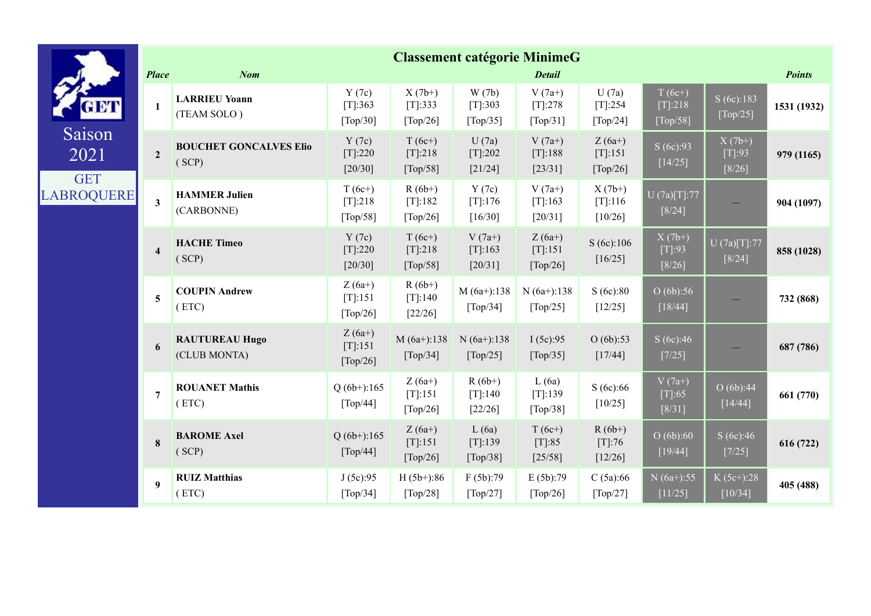|                                 |                         |                                        |                                    |                                    |                                  | <b>Classement catégorie MinimeG</b>            |                                   |                                   |                                |               |
|---------------------------------|-------------------------|----------------------------------------|------------------------------------|------------------------------------|----------------------------------|------------------------------------------------|-----------------------------------|-----------------------------------|--------------------------------|---------------|
|                                 | <b>Place</b>            | <b>Nom</b>                             |                                    |                                    |                                  | <b>Detail</b>                                  |                                   |                                   |                                | <b>Points</b> |
| 8 M I                           | $\mathbf{1}$            | <b>LARRIEU Yoann</b><br>(TEAM SOLO)    | Y(7c)<br>[T]:363<br>[Top/30]       | $X(7b+)$<br>[T]:333<br>[Top/26]    | W(7b)<br>[T]:303<br>[Top/35]     | $V(7a+)$<br>$[T]$ :278<br>[Top/31]             | U(7a)<br>$[T[:254]$<br>[Top/24]   | $T(6c+)$<br>[T]:218<br>[Top/58]   | S(6c):183<br>[Top/25]          | 1531 (1932)   |
| Saison<br>2021                  | $\overline{2}$          | <b>BOUCHET GONCALVES Elio</b><br>(SCP) | Y(7c)<br>$[T]$ :220<br>[20/30]     | $T(6c+)$<br>$[T]$ :218<br>[Top/58] | U(7a)<br>$[T]$ :202<br>[21/24]   | $V(7a+)$<br>[T]:188<br>[23/31]                 | $Z(6a+)$<br>[T]:151<br>[Top/26]   | S(6c):93<br>[14/25]               | $X(7b+)$<br>[T]:93<br>$[8/26]$ | 979 (1165)    |
| <b>GET</b><br><b>LABROQUERE</b> | $\overline{\mathbf{3}}$ | <b>HAMMER Julien</b><br>(CARBONNE)     | $T(6c+)$<br>$[T[:218$<br>[Top/58]  | $R(6b+)$<br>[T]:182<br>[Top/26]    | Y(7c)<br>[T]:176<br>[16/30]      | $V(7a+)$<br>[T]:163<br>[20/31]                 | $X(7b+)$<br>$[T[:116$<br>[10/26]  | U (7a)[T]:77<br>$[8/24]$          |                                | 904 (1097)    |
|                                 | $\overline{\mathbf{4}}$ | <b>HACHE Timeo</b><br>(SCP)            | Y(7c)<br>[T]:220<br>$[20/30]$      | $T(6c+)$<br>[T]:218<br>[Top/58]    | $V(7a+)$<br>[T]:163<br>$[20/31]$ | $Z(6a+)$<br>[T]:151<br>[Top/26]                | S(6c):106<br>[16/25]              | $X(7b+)$<br>[T]:93<br>$[8/26]$    | U (7a)[T]:77<br>[8/24]         | 858 (1028)    |
|                                 | 5                       | <b>COUPIN Andrew</b><br>(ETC)          | $Z(6a+)$<br>[T]:151<br>[Top/26]    | $R(6b+)$<br>[T]:140<br>$[22/26]$   | $M(6a+):138$<br>[Top/34]         | $N(6a+)$ :138<br>$\lceil \text{Top}/25 \rceil$ | S(6c):80<br>$[12/25]$             | O(6b):56<br>[18/44]               |                                | 732 (868)     |
|                                 | 6                       | <b>RAUTUREAU Hugo</b><br>(CLUB MONTA)  | $Z(6a+)$<br>$[T]$ :151<br>[Top/26] | $M(6a+)$ :138<br>[Top/34]          | $N(6a+)$ :138<br>[Top/25]        | I(5c):95<br>[Top/35]                           | O(6b):53<br>[17/44]               | S(6c):46<br>$[7/25]$              | ---                            | 687 (786)     |
|                                 | $\overline{7}$          | <b>ROUANET Mathis</b><br>(ETC)         | $Q(6b+)$ :165<br>[Top/44]          | $Z(6a+)$<br>[T]:151<br>[Top/26]    | $R(6b+)$<br>[T]:140<br>[22/26]   | L(6a)<br>[T]:139<br>[Top/38]                   | S(6c):66<br>[10/25]               | $V(7a+)$<br>$[T]: 65$<br>$[8/31]$ | O(6b):44<br>$[14/44]$          | 661 (770)     |
|                                 | 8                       | <b>BAROME Axel</b><br>(SCP)            | $Q(6b+)$ :165<br>[Top/44]          | $Z(6a+)$<br>[T]:151<br>[Top/26]    | L(6a)<br>[T]:139<br>[Top/38]     | $T(6c+)$<br>$[T]:85$<br>[25/58]                | $R(6b+)$<br>$[T]:76$<br>$[12/26]$ | O(6b):60<br>[19/44]               | S(6c):46<br>[7/25]             | 616 (722)     |
|                                 | 9                       | <b>RUIZ Matthias</b><br>(ETC)          | J(5c):95<br>[Top/34]               | $H(5b+)$ :86<br>[Top/28]           | F(5b):79<br>[Top/27]             | E(5b):79<br>[Top/26]                           | C(5a):66<br>[Top/27]              | $N(6a+)$ :55<br>[11/25]           | $K(5c+)$ :28<br>[10/34]        | 405 (488)     |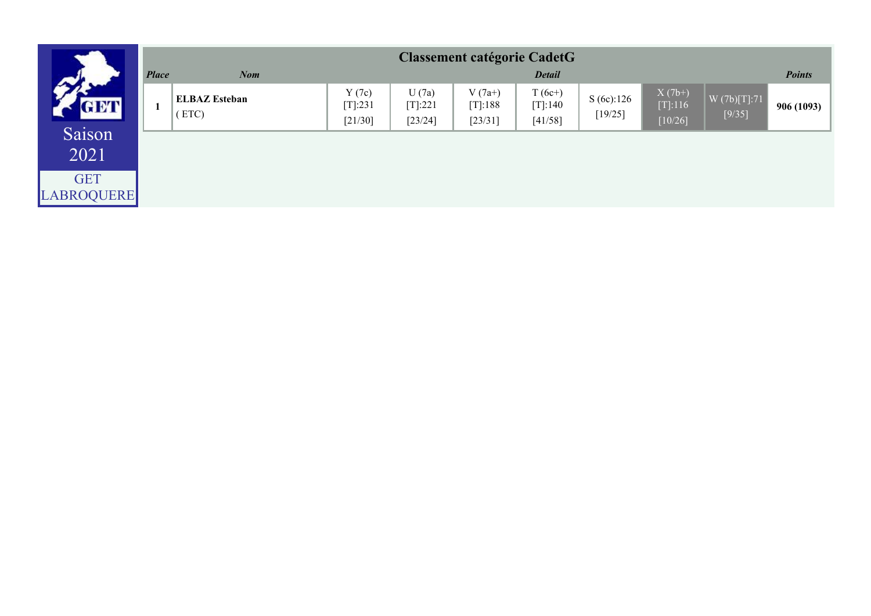|                                            |              |                               |                                |                               | <b>Classement catégorie CadetG</b> |                                   |                      |                                  |                          |               |
|--------------------------------------------|--------------|-------------------------------|--------------------------------|-------------------------------|------------------------------------|-----------------------------------|----------------------|----------------------------------|--------------------------|---------------|
|                                            | <b>Place</b> | <b>Nom</b>                    |                                |                               |                                    | <b>Detail</b>                     |                      |                                  |                          | <b>Points</b> |
| <b>GET</b>                                 |              | <b>ELBAZ Esteban</b><br>(ETC) | Y(7c)<br>$[T]$ :231<br>[21/30] | U(7a)<br>[T]:221<br>$[23/24]$ | $V(7a+)$<br>$[T]$ :188<br>[23/31]  | $T(6c+)$<br>$[T]$ :140<br>[41/58] | S(6c):126<br>[19/25] | $X(7b+)$<br>[T]:116<br>$[10/26]$ | W (7b)[T]:71<br>$[9/35]$ | 906(1093)     |
| Saison<br>2021<br><b>GET</b><br>LABROQUERE |              |                               |                                |                               |                                    |                                   |                      |                                  |                          |               |